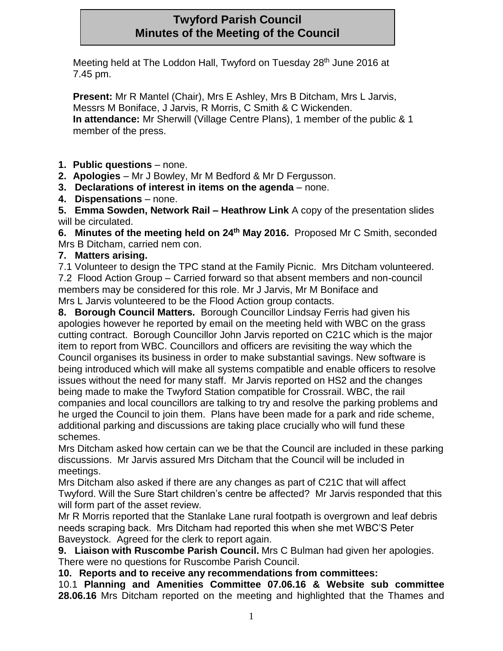## **Twyford Parish Council Minutes of the Meeting of the Council**

Meeting held at The Loddon Hall, Twyford on Tuesday 28<sup>th</sup> June 2016 at 7.45 pm.

**Present:** Mr R Mantel (Chair), Mrs E Ashley, Mrs B Ditcham, Mrs L Jarvis, Messrs M Boniface, J Jarvis, R Morris, C Smith & C Wickenden. **In attendance:** Mr Sherwill (Village Centre Plans), 1 member of the public & 1 member of the press.

**1. Public questions** – none.

**2. Apologies** – Mr J Bowley, Mr M Bedford & Mr D Fergusson.

**3. Declarations of interest in items on the agenda** – none.

**4. Dispensations** – none.

**5. Emma Sowden, Network Rail – Heathrow Link** A copy of the presentation slides will be circulated.

**6. Minutes of the meeting held on 24th May 2016.** Proposed Mr C Smith, seconded Mrs B Ditcham, carried nem con.

## **7. Matters arising.**

7.1 Volunteer to design the TPC stand at the Family Picnic. Mrs Ditcham volunteered. 7.2 Flood Action Group – Carried forward so that absent members and non-council members may be considered for this role. Mr J Jarvis, Mr M Boniface and Mrs L Jarvis volunteered to be the Flood Action group contacts.

**8. Borough Council Matters.** Borough Councillor Lindsay Ferris had given his apologies however he reported by email on the meeting held with WBC on the grass cutting contract. Borough Councillor John Jarvis reported on C21C which is the major item to report from WBC. Councillors and officers are revisiting the way which the Council organises its business in order to make substantial savings. New software is being introduced which will make all systems compatible and enable officers to resolve issues without the need for many staff. Mr Jarvis reported on HS2 and the changes being made to make the Twyford Station compatible for Crossrail. WBC, the rail companies and local councillors are talking to try and resolve the parking problems and he urged the Council to join them. Plans have been made for a park and ride scheme, additional parking and discussions are taking place crucially who will fund these schemes.

Mrs Ditcham asked how certain can we be that the Council are included in these parking discussions. Mr Jarvis assured Mrs Ditcham that the Council will be included in meetings.

Mrs Ditcham also asked if there are any changes as part of C21C that will affect Twyford. Will the Sure Start children's centre be affected? Mr Jarvis responded that this will form part of the asset review.

Mr R Morris reported that the Stanlake Lane rural footpath is overgrown and leaf debris needs scraping back. Mrs Ditcham had reported this when she met WBC'S Peter Baveystock. Agreed for the clerk to report again.

**9. Liaison with Ruscombe Parish Council.** Mrs C Bulman had given her apologies. There were no questions for Ruscombe Parish Council.

**10. Reports and to receive any recommendations from committees:**

10.1 **Planning and Amenities Committee 07.06.16 & Website sub committee 28.06.16** Mrs Ditcham reported on the meeting and highlighted that the Thames and